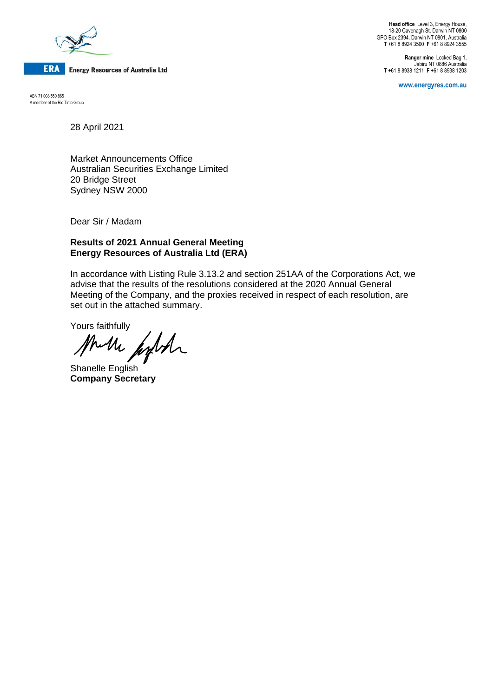

**Head office** Level 3, Energy House, 18-20 Cavenagh St, Darwin NT 0800 GPO Box 2394, Darwin NT 0801, Australia **T** +61 8 8924 3500 **F** +61 8 8924 3555

**Ranger mine** Locked Bag 1, Jabiru NT 0886 Australia **T** +61 8 8938 1211 **F** +61 8 8938 1203

**www.energyres.com.au**

ABN 71 008 550 865 A member of the Rio Tinto Group

28 April 2021

Market Announcements Office Australian Securities Exchange Limited 20 Bridge Street Sydney NSW 2000

Dear Sir / Madam

## **Results of 2021 Annual General Meeting Energy Resources of Australia Ltd (ERA)**

In accordance with Listing Rule 3.13.2 and section 251AA of the Corporations Act, we advise that the results of the resolutions considered at the 2020 Annual General Meeting of the Company, and the proxies received in respect of each resolution, are set out in the attached summary.

Yours faithfully

Muche fight

Shanelle English **Company Secretary**